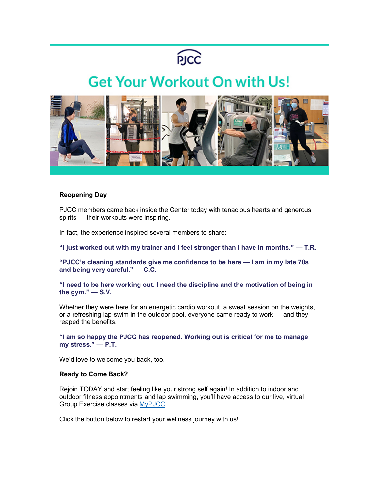

## **Get Your Workout On with Us!**



## **Reopening Day**

PJCC members came back inside the Center today with tenacious hearts and generous spirits — their workouts were inspiring.

In fact, the experience inspired several members to share:

**"I just worked out with my trainer and I feel stronger than I have in months." — T.R.** 

**"PJCC's cleaning standards give me confidence to be here — I am in my late 70s and being very careful." — C.C.** 

**"I need to be here working out. I need the discipline and the motivation of being in the gym." — S.V.** 

Whether they were here for an energetic cardio workout, a sweat session on the weights, or a refreshing lap-swim in the outdoor pool, everyone came ready to work — and they reaped the benefits.

**"I am so happy the PJCC has reopened. Working out is critical for me to manage my stress." — P.T.** 

We'd love to welcome you back, too.

## **Ready to Come Back?**

Rejoin TODAY and start feeling like your strong self again! In addition to indoor and outdoor fitness appointments and lap swimming, you'll have access to our live, virtual Group Exercise classes via [MyPJCC.](https://pjcc.acemlna.com/lt.php?s=c42fd1951155c949e7ef75aacbebeb55&i=353A741A3A3143)

Click the button below to restart your wellness journey with us!